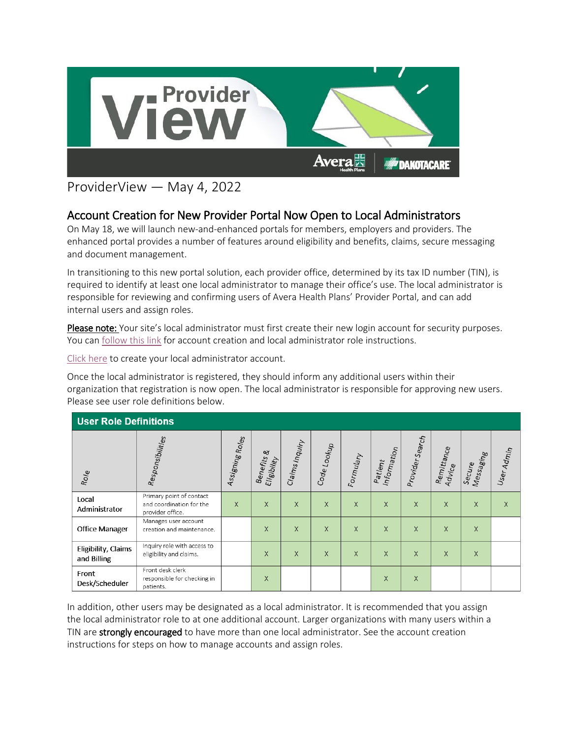

## ProviderView — May 4, 2022

## Account Creation for New Provider Portal Now Open to Local Administrators

On May 18, we will launch new-and-enhanced portals for members, employers and providers. The enhanced portal provides a number of features around eligibility and benefits, claims, secure messaging and document management.

In transitioning to this new portal solution, each provider office, determined by its tax ID number (TIN), is required to identify at least one local administrator to manage their office's use. The local administrator is responsible for reviewing and confirming users of Avera Health Plans' Provider Portal, and can add internal users and assign roles.

Please note: Your site's local administrator must first create their new login account for security purposes. You can [follow this link](https://www.avera.org/app/files/public/82561/AHP-Providers-Account-Creation-Instructions.pdf) for account creation and local administrator role instructions.

[Click here](https://protect2.fireeye.com/v1/url?k=eb2eb07c-b4b5894d-eb2f8f26-000babe40669-421261103aba786f&q=1&e=96f3f95e-b029-49b9-85a3-21a9be66d50c&u=https%3A%2F%2Favera.healthtrioconnect.com%2Fregister%2Fnonmember%2Fuserinfo%2FUserInformation%3Fpayor%3D1084%26portal%3DProvider) to create your local administrator account.

Once the local administrator is registered, they should inform any additional users within their organization that registration is now open. The local administrator is responsible for approving new users. Please see user role definitions below.

| <b>User Role Definitions</b>       |                                                                          |                 |                                      |                |                        |           |                        |                 |                      |                     |            |
|------------------------------------|--------------------------------------------------------------------------|-----------------|--------------------------------------|----------------|------------------------|-----------|------------------------|-----------------|----------------------|---------------------|------------|
| Role                               | Responsibilities                                                         | Assigning Roles | <b>Benefits &amp;</b><br>Eligibility | Claims Inquiry | Code <sub>Lookup</sub> | Formulary | Information<br>Patient | Provider Search | Remittance<br>Advice | Messaging<br>Secure | User Admin |
| Local<br>Administrator             | Primary point of contact<br>and coordination for the<br>provider office. | $\mathsf{X}$    | $\times$                             | X              | X                      | X         | X                      | X               | $\times$             | X                   | X          |
| <b>Office Manager</b>              | Manages user account<br>creation and maintenance.                        |                 | $\times$                             | $\times$       | X                      | X         | X                      | X               | X                    | X                   |            |
| Eligibility, Claims<br>and Billing | Inquiry role with access to<br>eligibility and claims.                   |                 | X                                    | $\times$       | X                      | X         | $\times$               | X               | X                    | X                   |            |
| Front<br>Desk/Scheduler            | Front desk clerk<br>responsible for checking in<br>patients.             |                 | X                                    |                |                        |           | X                      | X               |                      |                     |            |

In addition, other users may be designated as a local administrator. It is recommended that you assign the local administrator role to at one additional account. Larger organizations with many users within a TIN are strongly encouraged to have more than one local administrator. See the account creation instructions for steps on how to manage accounts and assign roles.